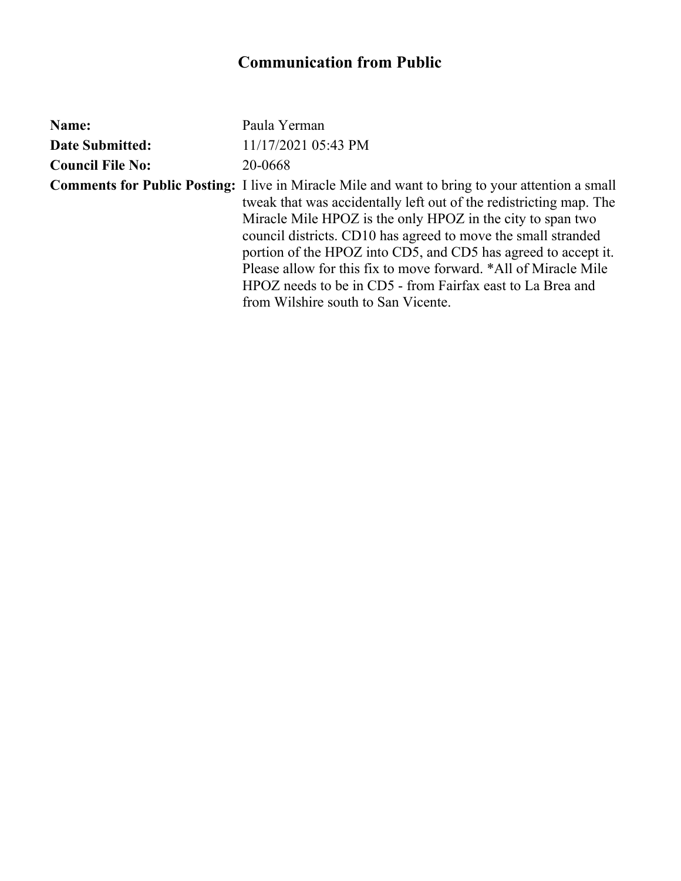| Name:                   | Paula Yerman                                                                                                                                                                                                                                                                                                                                                                                                                                                                                                                                          |
|-------------------------|-------------------------------------------------------------------------------------------------------------------------------------------------------------------------------------------------------------------------------------------------------------------------------------------------------------------------------------------------------------------------------------------------------------------------------------------------------------------------------------------------------------------------------------------------------|
| <b>Date Submitted:</b>  | 11/17/2021 05:43 PM                                                                                                                                                                                                                                                                                                                                                                                                                                                                                                                                   |
| <b>Council File No:</b> | 20-0668                                                                                                                                                                                                                                                                                                                                                                                                                                                                                                                                               |
|                         | <b>Comments for Public Posting:</b> I live in Miracle Mile and want to bring to your attention a small<br>tweak that was accidentally left out of the redistricting map. The<br>Miracle Mile HPOZ is the only HPOZ in the city to span two<br>council districts. CD10 has agreed to move the small stranded<br>portion of the HPOZ into CD5, and CD5 has agreed to accept it.<br>Please allow for this fix to move forward. *All of Miracle Mile<br>HPOZ needs to be in CD5 - from Fairfax east to La Brea and<br>from Wilshire south to San Vicente. |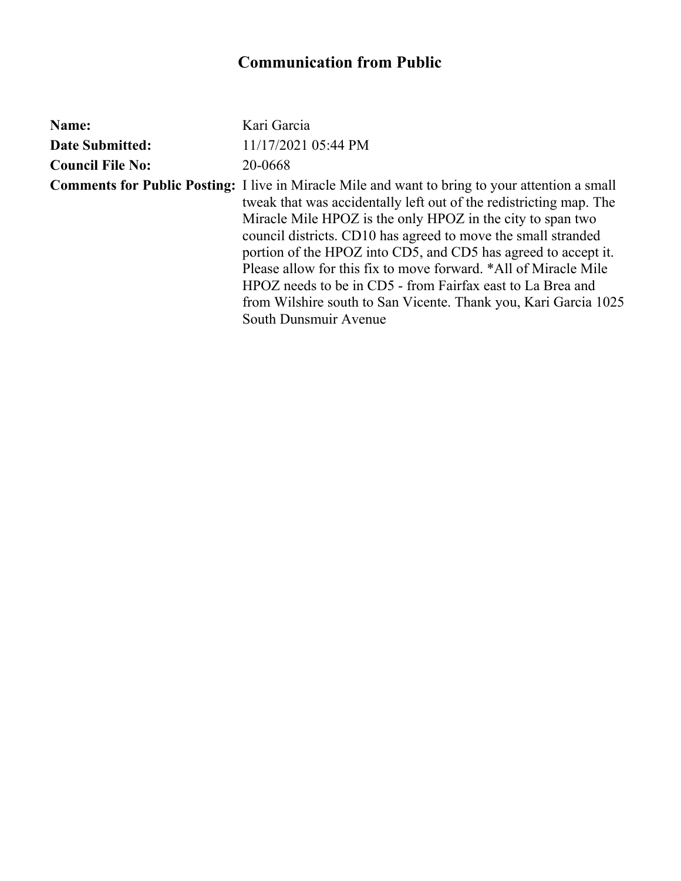| Name:                   | Kari Garcia                                                                                                                                                                                                                                                                                                                                                                                                                                                                                                                                                                                                |
|-------------------------|------------------------------------------------------------------------------------------------------------------------------------------------------------------------------------------------------------------------------------------------------------------------------------------------------------------------------------------------------------------------------------------------------------------------------------------------------------------------------------------------------------------------------------------------------------------------------------------------------------|
| <b>Date Submitted:</b>  | 11/17/2021 05:44 PM                                                                                                                                                                                                                                                                                                                                                                                                                                                                                                                                                                                        |
| <b>Council File No:</b> | 20-0668                                                                                                                                                                                                                                                                                                                                                                                                                                                                                                                                                                                                    |
|                         | <b>Comments for Public Posting:</b> I live in Miracle Mile and want to bring to your attention a small<br>tweak that was accidentally left out of the redistricting map. The<br>Miracle Mile HPOZ is the only HPOZ in the city to span two<br>council districts. CD10 has agreed to move the small stranded<br>portion of the HPOZ into CD5, and CD5 has agreed to accept it.<br>Please allow for this fix to move forward. *All of Miracle Mile<br>HPOZ needs to be in CD5 - from Fairfax east to La Brea and<br>from Wilshire south to San Vicente. Thank you, Kari Garcia 1025<br>South Dunsmuir Avenue |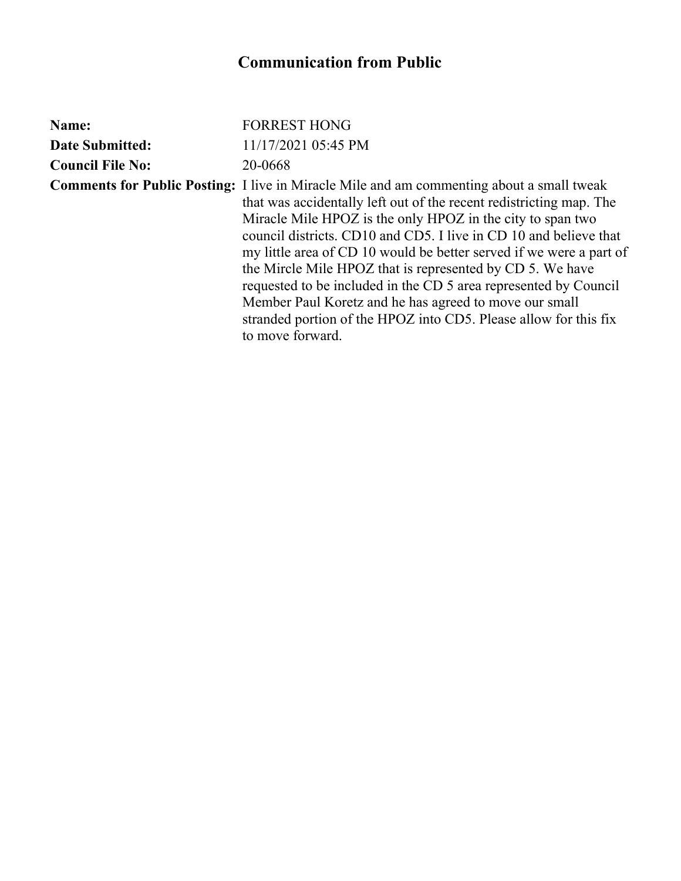| Name:                   | <b>FORREST HONG</b>                                                                                                                                                                                                                                                                                                                                                                                                                                                                                                                                                                                                                                                  |
|-------------------------|----------------------------------------------------------------------------------------------------------------------------------------------------------------------------------------------------------------------------------------------------------------------------------------------------------------------------------------------------------------------------------------------------------------------------------------------------------------------------------------------------------------------------------------------------------------------------------------------------------------------------------------------------------------------|
| <b>Date Submitted:</b>  | 11/17/2021 05:45 PM                                                                                                                                                                                                                                                                                                                                                                                                                                                                                                                                                                                                                                                  |
| <b>Council File No:</b> | 20-0668                                                                                                                                                                                                                                                                                                                                                                                                                                                                                                                                                                                                                                                              |
|                         | <b>Comments for Public Posting:</b> I live in Miracle Mile and am commenting about a small tweak<br>that was accidentally left out of the recent redistricting map. The<br>Miracle Mile HPOZ is the only HPOZ in the city to span two<br>council districts. CD10 and CD5. I live in CD 10 and believe that<br>my little area of CD 10 would be better served if we were a part of<br>the Mircle Mile HPOZ that is represented by CD 5. We have<br>requested to be included in the CD 5 area represented by Council<br>Member Paul Koretz and he has agreed to move our small<br>stranded portion of the HPOZ into CD5. Please allow for this fix<br>to move forward. |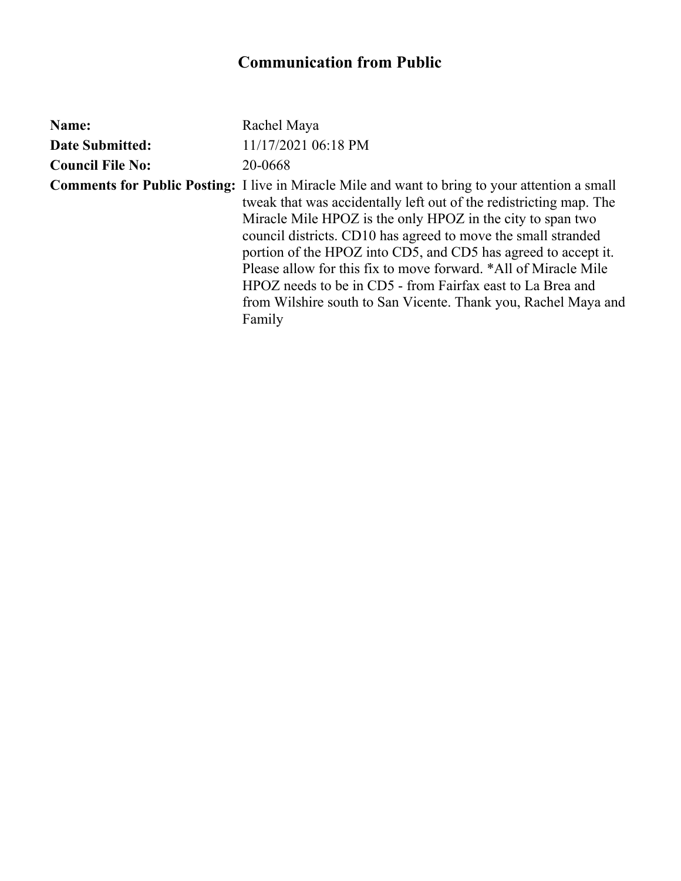| Name:                   | Rachel Maya                                                                                                                                                                                                                                                                                                                                                                                                                                                                                                                                                                                |
|-------------------------|--------------------------------------------------------------------------------------------------------------------------------------------------------------------------------------------------------------------------------------------------------------------------------------------------------------------------------------------------------------------------------------------------------------------------------------------------------------------------------------------------------------------------------------------------------------------------------------------|
| <b>Date Submitted:</b>  | 11/17/2021 06:18 PM                                                                                                                                                                                                                                                                                                                                                                                                                                                                                                                                                                        |
| <b>Council File No:</b> | 20-0668                                                                                                                                                                                                                                                                                                                                                                                                                                                                                                                                                                                    |
|                         | <b>Comments for Public Posting:</b> I live in Miracle Mile and want to bring to your attention a small<br>tweak that was accidentally left out of the redistricting map. The<br>Miracle Mile HPOZ is the only HPOZ in the city to span two<br>council districts. CD10 has agreed to move the small stranded<br>portion of the HPOZ into CD5, and CD5 has agreed to accept it.<br>Please allow for this fix to move forward. *All of Miracle Mile<br>HPOZ needs to be in CD5 - from Fairfax east to La Brea and<br>from Wilshire south to San Vicente. Thank you, Rachel Maya and<br>Family |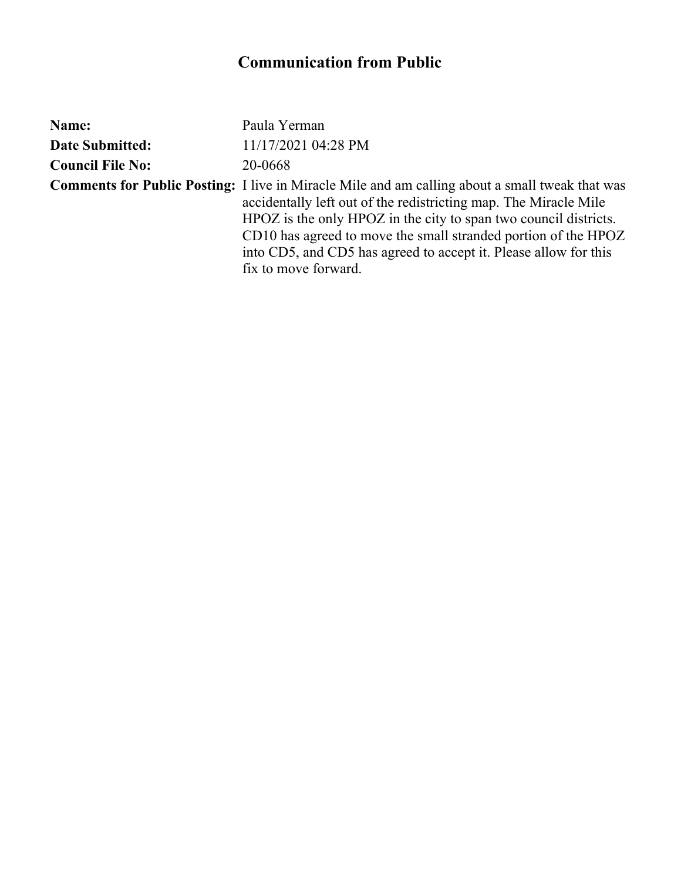| Name:                   | Paula Yerman                                                                                                                                                                                                                                                                                                                                                                                                 |
|-------------------------|--------------------------------------------------------------------------------------------------------------------------------------------------------------------------------------------------------------------------------------------------------------------------------------------------------------------------------------------------------------------------------------------------------------|
| <b>Date Submitted:</b>  | 11/17/2021 04:28 PM                                                                                                                                                                                                                                                                                                                                                                                          |
| <b>Council File No:</b> | 20-0668                                                                                                                                                                                                                                                                                                                                                                                                      |
|                         | <b>Comments for Public Posting:</b> I live in Miracle Mile and am calling about a small tweak that was<br>accidentally left out of the redistricting map. The Miracle Mile<br>HPOZ is the only HPOZ in the city to span two council districts.<br>CD10 has agreed to move the small stranded portion of the HPOZ<br>into CD5, and CD5 has agreed to accept it. Please allow for this<br>fix to move forward. |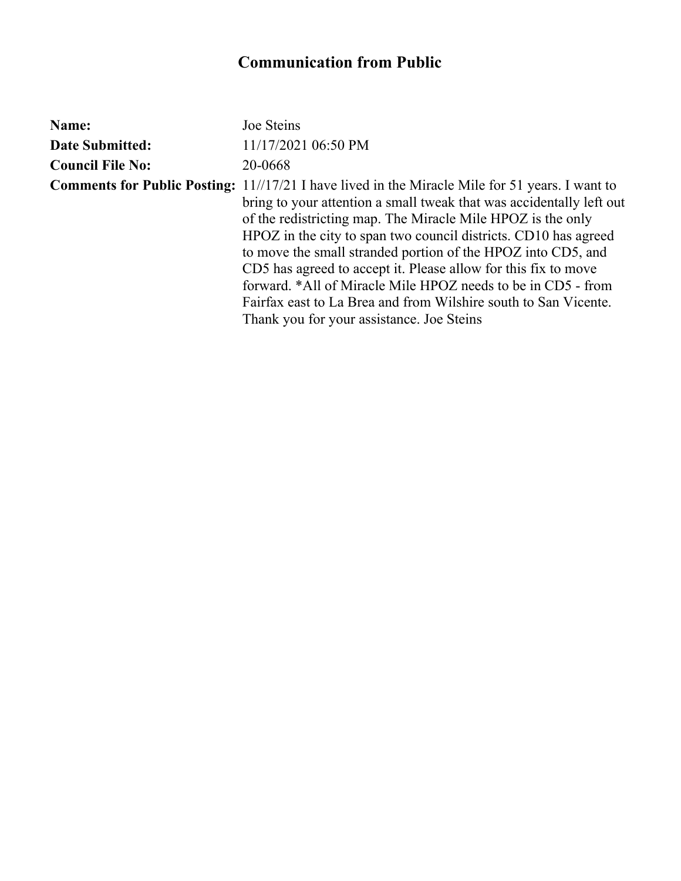| Name:                   | Joe Steins                                                                                                                                                                                                                                                                                                                                                                                                                                                                                                                                                                                                                         |
|-------------------------|------------------------------------------------------------------------------------------------------------------------------------------------------------------------------------------------------------------------------------------------------------------------------------------------------------------------------------------------------------------------------------------------------------------------------------------------------------------------------------------------------------------------------------------------------------------------------------------------------------------------------------|
| <b>Date Submitted:</b>  | 11/17/2021 06:50 PM                                                                                                                                                                                                                                                                                                                                                                                                                                                                                                                                                                                                                |
| <b>Council File No:</b> | 20-0668                                                                                                                                                                                                                                                                                                                                                                                                                                                                                                                                                                                                                            |
|                         | <b>Comments for Public Posting:</b> 11//17/21 I have lived in the Miracle Mile for 51 years. I want to<br>bring to your attention a small tweak that was accidentally left out<br>of the redistricting map. The Miracle Mile HPOZ is the only<br>HPOZ in the city to span two council districts. CD10 has agreed<br>to move the small stranded portion of the HPOZ into CD5, and<br>CD5 has agreed to accept it. Please allow for this fix to move<br>forward. *All of Miracle Mile HPOZ needs to be in CD5 - from<br>Fairfax east to La Brea and from Wilshire south to San Vicente.<br>Thank you for your assistance. Joe Steins |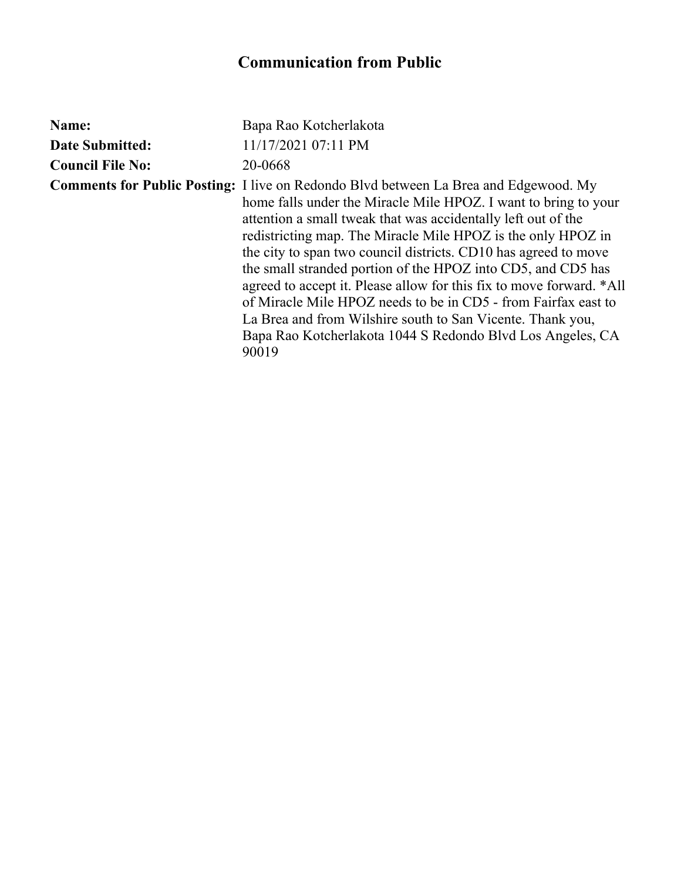| Name:                   | Bapa Rao Kotcherlakota                                                                                                                                                                                                                                                                                                                                                                                                                                                                                                                                                                                                                                                                                            |
|-------------------------|-------------------------------------------------------------------------------------------------------------------------------------------------------------------------------------------------------------------------------------------------------------------------------------------------------------------------------------------------------------------------------------------------------------------------------------------------------------------------------------------------------------------------------------------------------------------------------------------------------------------------------------------------------------------------------------------------------------------|
| <b>Date Submitted:</b>  | 11/17/2021 07:11 PM                                                                                                                                                                                                                                                                                                                                                                                                                                                                                                                                                                                                                                                                                               |
| <b>Council File No:</b> | 20-0668                                                                                                                                                                                                                                                                                                                                                                                                                                                                                                                                                                                                                                                                                                           |
|                         | <b>Comments for Public Posting:</b> I live on Redondo Blvd between La Brea and Edgewood. My<br>home falls under the Miracle Mile HPOZ. I want to bring to your<br>attention a small tweak that was accidentally left out of the<br>redistricting map. The Miracle Mile HPOZ is the only HPOZ in<br>the city to span two council districts. CD10 has agreed to move<br>the small stranded portion of the HPOZ into CD5, and CD5 has<br>agreed to accept it. Please allow for this fix to move forward. *All<br>of Miracle Mile HPOZ needs to be in CD5 - from Fairfax east to<br>La Brea and from Wilshire south to San Vicente. Thank you,<br>Bapa Rao Kotcherlakota 1044 S Redondo Blvd Los Angeles, CA<br>90019 |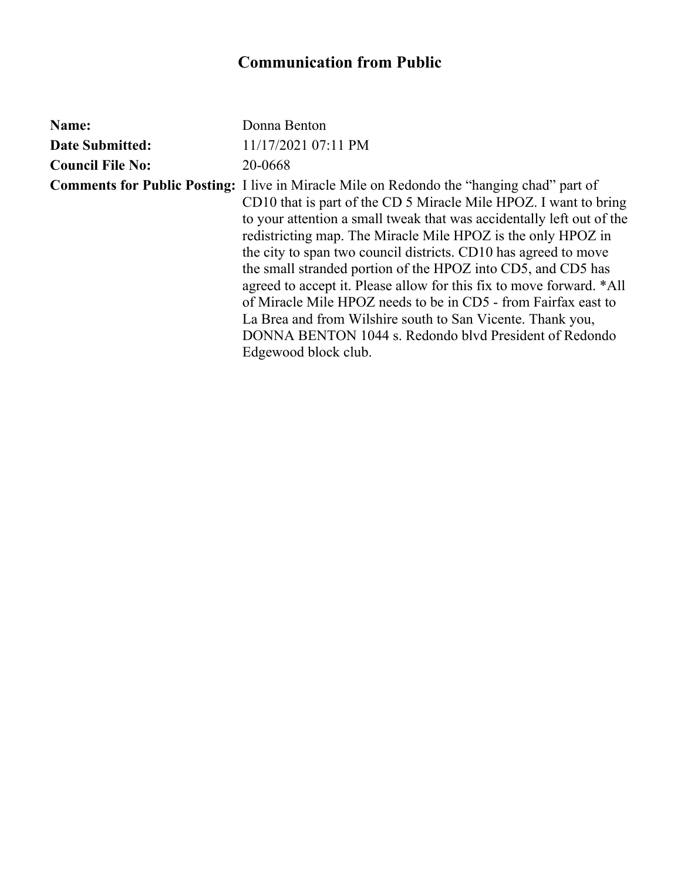| Name:                   | Donna Benton                                                                                                                                                                                                                                                                                                                                                                                                                                                                                                                                                                                                                                                                                                                               |
|-------------------------|--------------------------------------------------------------------------------------------------------------------------------------------------------------------------------------------------------------------------------------------------------------------------------------------------------------------------------------------------------------------------------------------------------------------------------------------------------------------------------------------------------------------------------------------------------------------------------------------------------------------------------------------------------------------------------------------------------------------------------------------|
| <b>Date Submitted:</b>  | 11/17/2021 07:11 PM                                                                                                                                                                                                                                                                                                                                                                                                                                                                                                                                                                                                                                                                                                                        |
| <b>Council File No:</b> | 20-0668                                                                                                                                                                                                                                                                                                                                                                                                                                                                                                                                                                                                                                                                                                                                    |
|                         | <b>Comments for Public Posting:</b> I live in Miracle Mile on Redondo the "hanging chad" part of<br>CD10 that is part of the CD 5 Miracle Mile HPOZ. I want to bring<br>to your attention a small tweak that was accidentally left out of the<br>redistricting map. The Miracle Mile HPOZ is the only HPOZ in<br>the city to span two council districts. CD10 has agreed to move<br>the small stranded portion of the HPOZ into CD5, and CD5 has<br>agreed to accept it. Please allow for this fix to move forward. *All<br>of Miracle Mile HPOZ needs to be in CD5 - from Fairfax east to<br>La Brea and from Wilshire south to San Vicente. Thank you,<br>DONNA BENTON 1044 s. Redondo blvd President of Redondo<br>Edgewood block club. |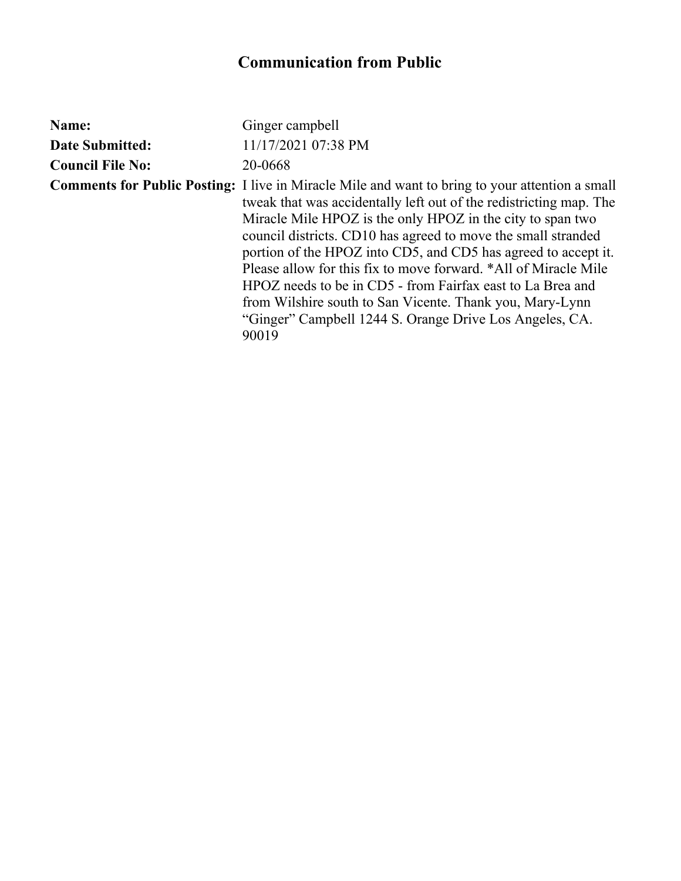| Name:                   | Ginger campbell                                                                                                                                                                                                                                                                                                                                                                                                                                                                                                                                                                                                                                |
|-------------------------|------------------------------------------------------------------------------------------------------------------------------------------------------------------------------------------------------------------------------------------------------------------------------------------------------------------------------------------------------------------------------------------------------------------------------------------------------------------------------------------------------------------------------------------------------------------------------------------------------------------------------------------------|
| <b>Date Submitted:</b>  | 11/17/2021 07:38 PM                                                                                                                                                                                                                                                                                                                                                                                                                                                                                                                                                                                                                            |
| <b>Council File No:</b> | 20-0668                                                                                                                                                                                                                                                                                                                                                                                                                                                                                                                                                                                                                                        |
|                         | <b>Comments for Public Posting:</b> I live in Miracle Mile and want to bring to your attention a small<br>tweak that was accidentally left out of the redistricting map. The<br>Miracle Mile HPOZ is the only HPOZ in the city to span two<br>council districts. CD10 has agreed to move the small stranded<br>portion of the HPOZ into CD5, and CD5 has agreed to accept it.<br>Please allow for this fix to move forward. *All of Miracle Mile<br>HPOZ needs to be in CD5 - from Fairfax east to La Brea and<br>from Wilshire south to San Vicente. Thank you, Mary-Lynn<br>"Ginger" Campbell 1244 S. Orange Drive Los Angeles, CA.<br>90019 |